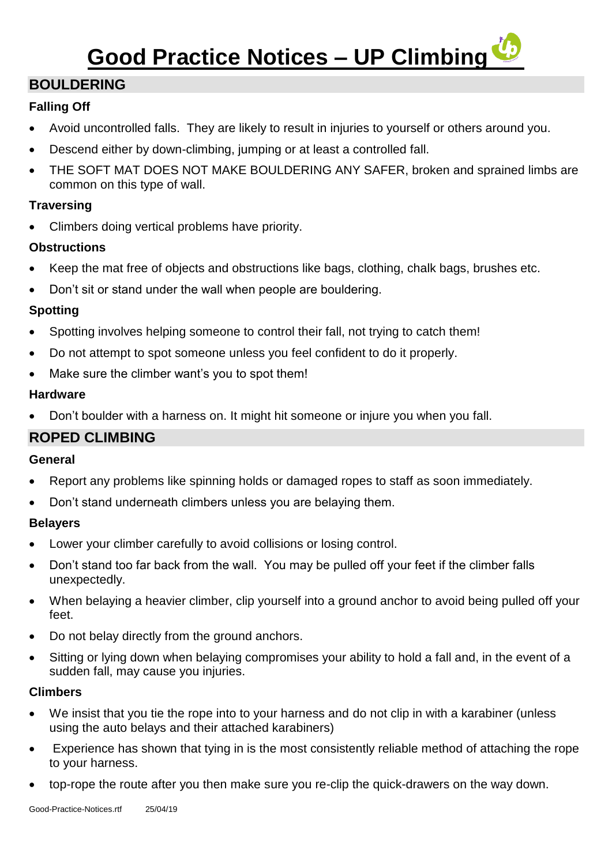# **Good Practice Notices – UP Climbing**

## **BOULDERING**

### **Falling Off**

- Avoid uncontrolled falls. They are likely to result in injuries to yourself or others around you.
- Descend either by down-climbing, jumping or at least a controlled fall.
- THE SOFT MAT DOES NOT MAKE BOULDERING ANY SAFER, broken and sprained limbs are common on this type of wall.

#### **Traversing**

Climbers doing vertical problems have priority.

#### **Obstructions**

- Keep the mat free of objects and obstructions like bags, clothing, chalk bags, brushes etc.
- Don't sit or stand under the wall when people are bouldering.

#### **Spotting**

- Spotting involves helping someone to control their fall, not trying to catch them!
- Do not attempt to spot someone unless you feel confident to do it properly.
- Make sure the climber want's you to spot them!

#### **Hardware**

• Don't boulder with a harness on. It might hit someone or injure you when you fall.

## **ROPED CLIMBING**

#### **General**

- Report any problems like spinning holds or damaged ropes to staff as soon immediately.
- Don't stand underneath climbers unless you are belaying them.

#### **Belayers**

- Lower your climber carefully to avoid collisions or losing control.
- Don't stand too far back from the wall. You may be pulled off your feet if the climber falls unexpectedly.
- When belaying a heavier climber, clip yourself into a ground anchor to avoid being pulled off your feet.
- Do not belay directly from the ground anchors.
- Sitting or lying down when belaying compromises your ability to hold a fall and, in the event of a sudden fall, may cause you injuries.

#### **Climbers**

- We insist that you tie the rope into to your harness and do not clip in with a karabiner (unless using the auto belays and their attached karabiners)
- Experience has shown that tying in is the most consistently reliable method of attaching the rope to your harness.
- top-rope the route after you then make sure you re-clip the quick-drawers on the way down.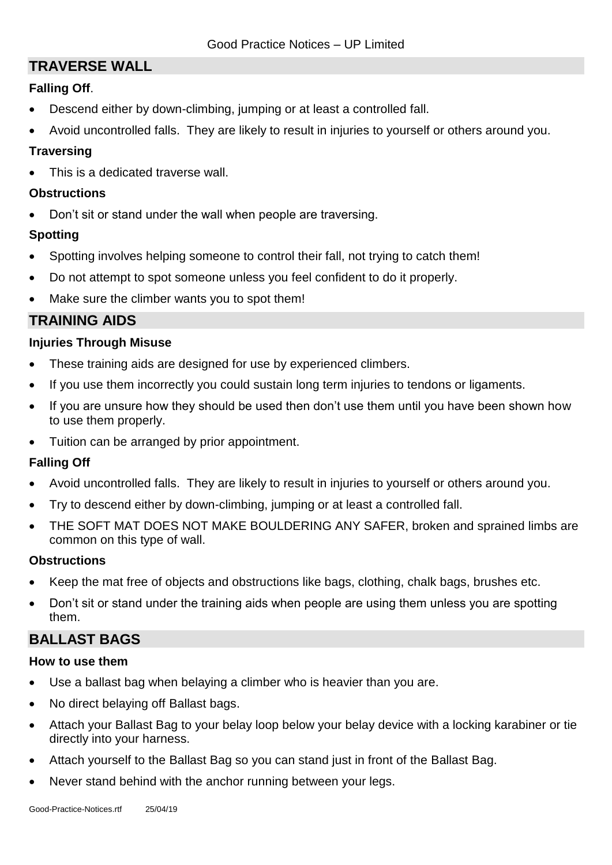## **TRAVERSE WALL**

#### **Falling Off**.

- Descend either by down-climbing, jumping or at least a controlled fall.
- Avoid uncontrolled falls. They are likely to result in injuries to yourself or others around you.

#### **Traversing**

This is a dedicated traverse wall.

#### **Obstructions**

• Don't sit or stand under the wall when people are traversing.

#### **Spotting**

- Spotting involves helping someone to control their fall, not trying to catch them!
- Do not attempt to spot someone unless you feel confident to do it properly.
- Make sure the climber wants you to spot them!

## **TRAINING AIDS**

#### **Injuries Through Misuse**

- These training aids are designed for use by experienced climbers.
- If you use them incorrectly you could sustain long term injuries to tendons or ligaments.
- If you are unsure how they should be used then don't use them until you have been shown how to use them properly.
- Tuition can be arranged by prior appointment.

#### **Falling Off**

- Avoid uncontrolled falls. They are likely to result in injuries to yourself or others around you.
- Try to descend either by down-climbing, jumping or at least a controlled fall.
- THE SOFT MAT DOES NOT MAKE BOULDERING ANY SAFER, broken and sprained limbs are common on this type of wall.

#### **Obstructions**

- Keep the mat free of objects and obstructions like bags, clothing, chalk bags, brushes etc.
- Don't sit or stand under the training aids when people are using them unless you are spotting them.

## **BALLAST BAGS**

#### **How to use them**

- Use a ballast bag when belaying a climber who is heavier than you are.
- No direct belaying off Ballast bags.
- Attach your Ballast Bag to your belay loop below your belay device with a locking karabiner or tie directly into your harness.
- Attach yourself to the Ballast Bag so you can stand just in front of the Ballast Bag.
- Never stand behind with the anchor running between your legs.